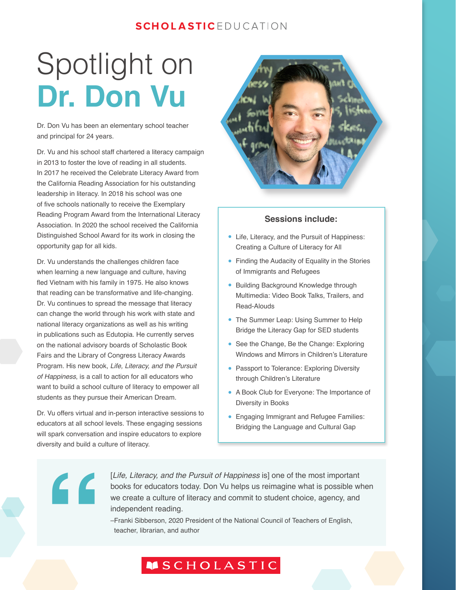### **SCHOLASTIC**EDUCATION

## Spotlight on **Dr. Don Vu**

Dr. Don Vu has been an elementary school teacher and principal for 24 years.

Dr. Vu and his school staff chartered a literacy campaign in 2013 to foster the love of reading in all students. In 2017 he received the Celebrate Literacy Award from the California Reading Association for his outstanding leadership in literacy. In 2018 his school was one of five schools nationally to receive the Exemplary Reading Program Award from the International Literacy Association. In 2020 the school received the California Distinguished School Award for its work in closing the opportunity gap for all kids.

Dr. Vu understands the challenges children face when learning a new language and culture, having fled Vietnam with his family in 1975. He also knows that reading can be transformative and life-changing. Dr. Vu continues to spread the message that literacy can change the world through his work with state and national literacy organizations as well as his writing in publications such as Edutopia. He currently serves on the national advisory boards of Scholastic Book Fairs and the Library of Congress Literacy Awards Program. His new book, *Life, Literacy, and the Pursuit of Happiness*, is a call to action for all educators who want to build a school culture of literacy to empower all students as they pursue their American Dream.

Dr. Vu offers virtual and in-person interactive sessions to educators at all school levels. These engaging sessions will spark conversation and inspire educators to explore diversity and build a culture of literacy.



#### **Sessions include:**

- Life, Literacy, and the Pursuit of Happiness: Creating a Culture of Literacy for All
- Finding the Audacity of Equality in the Stories of Immigrants and Refugees
- Building Background Knowledge through Multimedia: Video Book Talks, Trailers, and Read-Alouds
- The Summer Leap: Using Summer to Help Bridge the Literacy Gap for SED students
- See the Change, Be the Change: Exploring Windows and Mirrors in Children's Literature
- Passport to Tolerance: Exploring Diversity through Children's Literature
- A Book Club for Everyone: The Importance of Diversity in Books
- Engaging Immigrant and Refugee Families: Bridging the Language and Cultural Gap

# **"**

[*Life, Literacy, and the Pursuit of Happiness* is] one of the most important books for educators today. Don Vu helps us reimagine what is possible when we create a culture of literacy and commit to student choice, agency, and independent reading.

–Franki Sibberson, 2020 President of the National Council of Teachers of English, teacher, librarian, and author

### **MSCHOLASTIC**